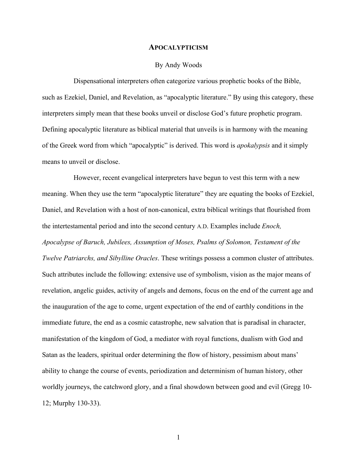## **APOCALYPTICISM**

## By Andy Woods

Dispensational interpreters often categorize various prophetic books of the Bible, such as Ezekiel, Daniel, and Revelation, as "apocalyptic literature." By using this category, these interpreters simply mean that these books unveil or disclose God's future prophetic program. Defining apocalyptic literature as biblical material that unveils is in harmony with the meaning of the Greek word from which "apocalyptic" is derived. This word is *apokalypsis* and it simply means to unveil or disclose.

However, recent evangelical interpreters have begun to vest this term with a new meaning. When they use the term "apocalyptic literature" they are equating the books of Ezekiel, Daniel, and Revelation with a host of non-canonical, extra biblical writings that flourished from the intertestamental period and into the second century A.D. Examples include *Enoch, Apocalypse of Baruch, Jubilees, Assumption of Moses, Psalms of Solomon, Testament of the Twelve Patriarchs, and Sibylline Oracles*. These writings possess a common cluster of attributes. Such attributes include the following: extensive use of symbolism, vision as the major means of revelation, angelic guides, activity of angels and demons, focus on the end of the current age and the inauguration of the age to come, urgent expectation of the end of earthly conditions in the immediate future, the end as a cosmic catastrophe, new salvation that is paradisal in character, manifestation of the kingdom of God, a mediator with royal functions, dualism with God and Satan as the leaders, spiritual order determining the flow of history, pessimism about mans' ability to change the course of events, periodization and determinism of human history, other worldly journeys, the catchword glory, and a final showdown between good and evil (Gregg 10- 12; Murphy 130-33).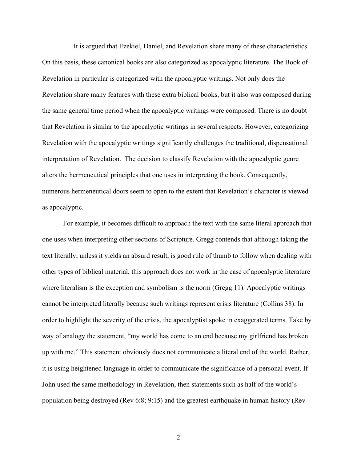It is argued that Ezekiel, Daniel, and Revelation share many of these characteristics. On this basis, these canonical books are also categorized as apocalyptic literature. The Book of Revelation in particular is categorized with the apocalyptic writings. Not only does the Revelation share many features with these extra biblical books, but it also was composed during the same general time period when the apocalyptic writings were composed. There is no doubt that Revelation is similar to the apocalyptic writings in several respects. However, categorizing Revelation with the apocalyptic writings significantly challenges the traditional, dispensational interpretation of Revelation. The decision to classify Revelation with the apocalyptic genre alters the hermeneutical principles that one uses in interpreting the book. Consequently, numerous hermeneutical doors seem to open to the extent that Revelation's character is viewed as apocalyptic.

For example, it becomes difficult to approach the text with the same literal approach that one uses when interpreting other sections of Scripture. Gregg contends that although taking the text literally, unless it yields an absurd result, is good rule of thumb to follow when dealing with other types of biblical material, this approach does not work in the case of apocalyptic literature where literalism is the exception and symbolism is the norm (Gregg 11). Apocalyptic writings cannot be interpreted literally because such writings represent crisis literature (Collins 38). In order to highlight the severity of the crisis, the apocalyptist spoke in exaggerated terms. Take by way of analogy the statement, "my world has come to an end because my girlfriend has broken up with me." This statement obviously does not communicate a literal end of the world. Rather, it is using heightened language in order to communicate the significance of a personal event. If John used the same methodology in Revelation, then statements such as half of the world's population being destroyed (Rev 6:8; 9:15) and the greatest earthquake in human history (Rev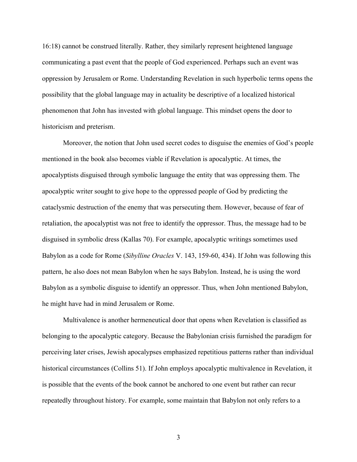16:18) cannot be construed literally. Rather, they similarly represent heightened language communicating a past event that the people of God experienced. Perhaps such an event was oppression by Jerusalem or Rome. Understanding Revelation in such hyperbolic terms opens the possibility that the global language may in actuality be descriptive of a localized historical phenomenon that John has invested with global language. This mindset opens the door to historicism and preterism.

Moreover, the notion that John used secret codes to disguise the enemies of God's people mentioned in the book also becomes viable if Revelation is apocalyptic. At times, the apocalyptists disguised through symbolic language the entity that was oppressing them. The apocalyptic writer sought to give hope to the oppressed people of God by predicting the cataclysmic destruction of the enemy that was persecuting them. However, because of fear of retaliation, the apocalyptist was not free to identify the oppressor. Thus, the message had to be disguised in symbolic dress (Kallas 70). For example, apocalyptic writings sometimes used Babylon as a code for Rome (*Sibylline Oracles* V. 143, 159-60, 434). If John was following this pattern, he also does not mean Babylon when he says Babylon. Instead, he is using the word Babylon as a symbolic disguise to identify an oppressor. Thus, when John mentioned Babylon, he might have had in mind Jerusalem or Rome.

Multivalence is another hermeneutical door that opens when Revelation is classified as belonging to the apocalyptic category. Because the Babylonian crisis furnished the paradigm for perceiving later crises, Jewish apocalypses emphasized repetitious patterns rather than individual historical circumstances (Collins 51). If John employs apocalyptic multivalence in Revelation, it is possible that the events of the book cannot be anchored to one event but rather can recur repeatedly throughout history. For example, some maintain that Babylon not only refers to a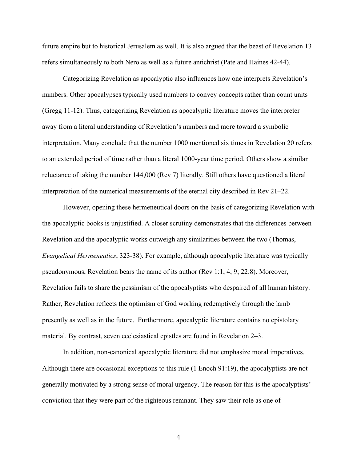future empire but to historical Jerusalem as well. It is also argued that the beast of Revelation 13 refers simultaneously to both Nero as well as a future antichrist (Pate and Haines 42-44).

Categorizing Revelation as apocalyptic also influences how one interprets Revelation's numbers. Other apocalypses typically used numbers to convey concepts rather than count units (Gregg 11-12). Thus, categorizing Revelation as apocalyptic literature moves the interpreter away from a literal understanding of Revelation's numbers and more toward a symbolic interpretation. Many conclude that the number 1000 mentioned six times in Revelation 20 refers to an extended period of time rather than a literal 1000-year time period. Others show a similar reluctance of taking the number 144,000 (Rev 7) literally. Still others have questioned a literal interpretation of the numerical measurements of the eternal city described in Rev 21–22.

However, opening these hermeneutical doors on the basis of categorizing Revelation with the apocalyptic books is unjustified. A closer scrutiny demonstrates that the differences between Revelation and the apocalyptic works outweigh any similarities between the two (Thomas, *Evangelical Hermeneutics*, 323-38). For example, although apocalyptic literature was typically pseudonymous, Revelation bears the name of its author (Rev 1:1, 4, 9; 22:8). Moreover, Revelation fails to share the pessimism of the apocalyptists who despaired of all human history. Rather, Revelation reflects the optimism of God working redemptively through the lamb presently as well as in the future. Furthermore, apocalyptic literature contains no epistolary material. By contrast, seven ecclesiastical epistles are found in Revelation 2–3.

In addition, non-canonical apocalyptic literature did not emphasize moral imperatives. Although there are occasional exceptions to this rule (1 Enoch 91:19), the apocalyptists are not generally motivated by a strong sense of moral urgency. The reason for this is the apocalyptists' conviction that they were part of the righteous remnant. They saw their role as one of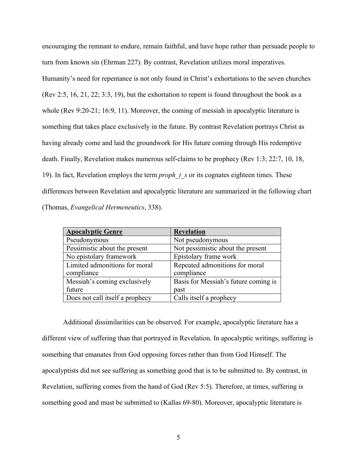encouraging the remnant to endure, remain faithful, and have hope rather than persuade people to turn from known sin (Ehrman 227). By contrast, Revelation utilizes moral imperatives. Humanity's need for repentance is not only found in Christ's exhortations to the seven churches (Rev 2:5, 16, 21, 22; 3:3, 19), but the exhortation to repent is found throughout the book as a whole (Rev 9:20-21; 16:9, 11). Moreover, the coming of messiah in apocalyptic literature is something that takes place exclusively in the future. By contrast Revelation portrays Christ as having already come and laid the groundwork for His future coming through His redemptive death. Finally, Revelation makes numerous self-claims to be prophecy (Rev 1:3; 22:7, 10, 18, 19). In fact, Revelation employs the term *proph\_t\_s* or its cognates eighteen times. These differences between Revelation and apocalyptic literature are summarized in the following chart (Thomas, *Evangelical Hermeneutics*, 338).

| <b>Apocalyptic Genre</b>        | <b>Revelation</b>                    |
|---------------------------------|--------------------------------------|
| Pseudonymous                    | Not pseudonymous                     |
| Pessimistic about the present   | Not pessimistic about the present    |
| No epistolary framework         | Epistolary frame work                |
| Limited admonitions for moral   | Repeated admonitions for moral       |
| compliance                      | compliance                           |
| Messiah's coming exclusively    | Basis for Messiah's future coming is |
| future                          | past                                 |
| Does not call itself a prophecy | Calls itself a prophecy              |

Additional dissimilarities can be observed. For example, apocalyptic literature has a different view of suffering than that portrayed in Revelation. In apocalyptic writings, suffering is something that emanates from God opposing forces rather than from God Himself. The apocalyptists did not see suffering as something good that is to be submitted to. By contrast, in Revelation, suffering comes from the hand of God (Rev 5:5). Therefore, at times, suffering is something good and must be submitted to (Kallas 69-80). Moreover, apocalyptic literature is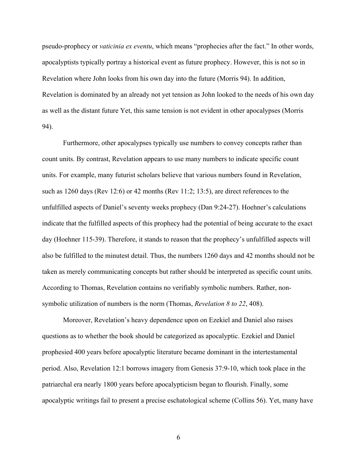pseudo-prophecy or *vaticinia ex eventu*, which means "prophecies after the fact." In other words, apocalyptists typically portray a historical event as future prophecy. However, this is not so in Revelation where John looks from his own day into the future (Morris 94). In addition, Revelation is dominated by an already not yet tension as John looked to the needs of his own day as well as the distant future Yet, this same tension is not evident in other apocalypses (Morris 94).

Furthermore, other apocalypses typically use numbers to convey concepts rather than count units. By contrast, Revelation appears to use many numbers to indicate specific count units. For example, many futurist scholars believe that various numbers found in Revelation, such as 1260 days (Rev 12:6) or 42 months (Rev 11:2; 13:5), are direct references to the unfulfilled aspects of Daniel's seventy weeks prophecy (Dan 9:24-27). Hoehner's calculations indicate that the fulfilled aspects of this prophecy had the potential of being accurate to the exact day (Hoehner 115-39). Therefore, it stands to reason that the prophecy's unfulfilled aspects will also be fulfilled to the minutest detail. Thus, the numbers 1260 days and 42 months should not be taken as merely communicating concepts but rather should be interpreted as specific count units. According to Thomas, Revelation contains no verifiably symbolic numbers. Rather, nonsymbolic utilization of numbers is the norm (Thomas, *Revelation 8 to 22*, 408).

Moreover, Revelation's heavy dependence upon on Ezekiel and Daniel also raises questions as to whether the book should be categorized as apocalyptic. Ezekiel and Daniel prophesied 400 years before apocalyptic literature became dominant in the intertestamental period. Also, Revelation 12:1 borrows imagery from Genesis 37:9-10, which took place in the patriarchal era nearly 1800 years before apocalypticism began to flourish. Finally, some apocalyptic writings fail to present a precise eschatological scheme (Collins 56). Yet, many have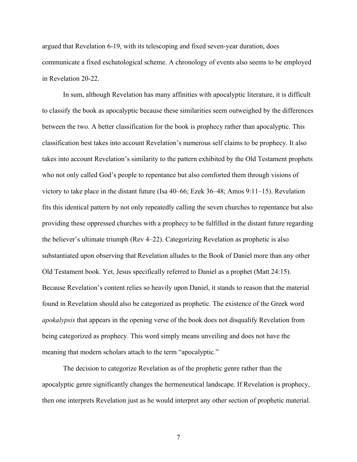argued that Revelation 6-19, with its telescoping and fixed seven-year duration, does communicate a fixed eschatological scheme. A chronology of events also seems to be employed in Revelation 20-22.

In sum, although Revelation has many affinities with apocalyptic literature, it is difficult to classify the book as apocalyptic because these similarities seem outweighed by the differences between the two. A better classification for the book is prophecy rather than apocalyptic. This classification best takes into account Revelation's numerous self claims to be prophecy. It also takes into account Revelation's similarity to the pattern exhibited by the Old Testament prophets who not only called God's people to repentance but also comforted them through visions of victory to take place in the distant future (Isa 40–66; Ezek 36–48; Amos 9:11–15). Revelation fits this identical pattern by not only repeatedly calling the seven churches to repentance but also providing these oppressed churches with a prophecy to be fulfilled in the distant future regarding the believer's ultimate triumph (Rev 4–22). Categorizing Revelation as prophetic is also substantiated upon observing that Revelation alludes to the Book of Daniel more than any other Old Testament book. Yet, Jesus specifically referred to Daniel as a prophet (Matt 24:15). Because Revelation's content relies so heavily upon Daniel, it stands to reason that the material found in Revelation should also be categorized as prophetic. The existence of the Greek word *apokalypsis* that appears in the opening verse of the book does not disqualify Revelation from being categorized as prophecy. This word simply means unveiling and does not have the meaning that modern scholars attach to the term "apocalyptic."

The decision to categorize Revelation as of the prophetic genre rather than the apocalyptic genre significantly changes the hermeneutical landscape. If Revelation is prophecy, then one interprets Revelation just as he would interpret any other section of prophetic material.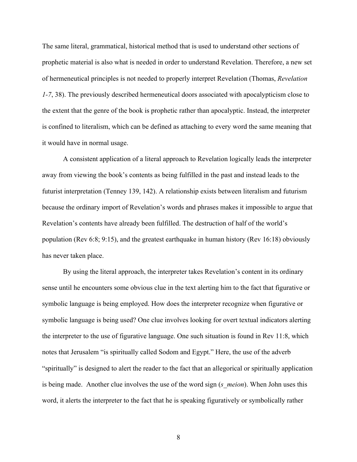The same literal, grammatical, historical method that is used to understand other sections of prophetic material is also what is needed in order to understand Revelation. Therefore, a new set of hermeneutical principles is not needed to properly interpret Revelation (Thomas, *Revelation 1-7*, 38). The previously described hermeneutical doors associated with apocalypticism close to the extent that the genre of the book is prophetic rather than apocalyptic. Instead, the interpreter is confined to literalism, which can be defined as attaching to every word the same meaning that it would have in normal usage.

A consistent application of a literal approach to Revelation logically leads the interpreter away from viewing the book's contents as being fulfilled in the past and instead leads to the futurist interpretation (Tenney 139, 142). A relationship exists between literalism and futurism because the ordinary import of Revelation's words and phrases makes it impossible to argue that Revelation's contents have already been fulfilled. The destruction of half of the world's population (Rev 6:8; 9:15), and the greatest earthquake in human history (Rev 16:18) obviously has never taken place.

By using the literal approach, the interpreter takes Revelation's content in its ordinary sense until he encounters some obvious clue in the text alerting him to the fact that figurative or symbolic language is being employed. How does the interpreter recognize when figurative or symbolic language is being used? One clue involves looking for overt textual indicators alerting the interpreter to the use of figurative language. One such situation is found in Rev 11:8, which notes that Jerusalem "is spiritually called Sodom and Egypt." Here, the use of the adverb "spiritually" is designed to alert the reader to the fact that an allegorical or spiritually application is being made. Another clue involves the use of the word sign (*s\_meion*). When John uses this word, it alerts the interpreter to the fact that he is speaking figuratively or symbolically rather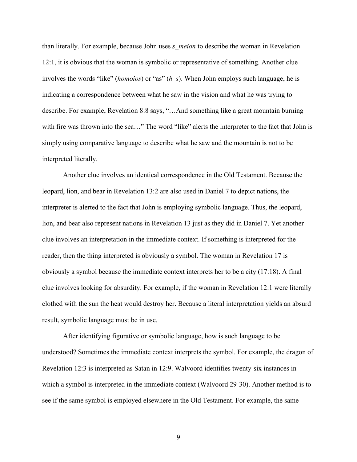than literally. For example, because John uses *s\_meion* to describe the woman in Revelation 12:1, it is obvious that the woman is symbolic or representative of something. Another clue involves the words "like" (*homoios*) or "as" (*h\_s*). When John employs such language, he is indicating a correspondence between what he saw in the vision and what he was trying to describe. For example, Revelation 8:8 says, "…And something like a great mountain burning with fire was thrown into the sea..." The word "like" alerts the interpreter to the fact that John is simply using comparative language to describe what he saw and the mountain is not to be interpreted literally.

Another clue involves an identical correspondence in the Old Testament. Because the leopard, lion, and bear in Revelation 13:2 are also used in Daniel 7 to depict nations, the interpreter is alerted to the fact that John is employing symbolic language. Thus, the leopard, lion, and bear also represent nations in Revelation 13 just as they did in Daniel 7. Yet another clue involves an interpretation in the immediate context. If something is interpreted for the reader, then the thing interpreted is obviously a symbol. The woman in Revelation 17 is obviously a symbol because the immediate context interprets her to be a city (17:18). A final clue involves looking for absurdity. For example, if the woman in Revelation 12:1 were literally clothed with the sun the heat would destroy her. Because a literal interpretation yields an absurd result, symbolic language must be in use.

After identifying figurative or symbolic language, how is such language to be understood? Sometimes the immediate context interprets the symbol. For example, the dragon of Revelation 12:3 is interpreted as Satan in 12:9. Walvoord identifies twenty-six instances in which a symbol is interpreted in the immediate context (Walvoord 29-30). Another method is to see if the same symbol is employed elsewhere in the Old Testament. For example, the same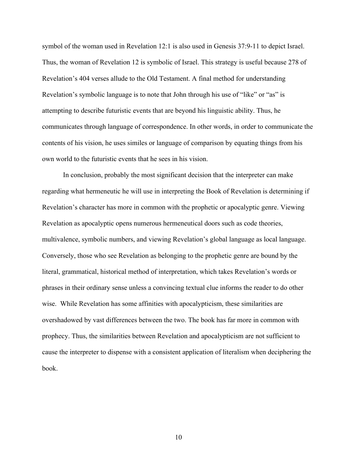symbol of the woman used in Revelation 12:1 is also used in Genesis 37:9-11 to depict Israel. Thus, the woman of Revelation 12 is symbolic of Israel. This strategy is useful because 278 of Revelation's 404 verses allude to the Old Testament. A final method for understanding Revelation's symbolic language is to note that John through his use of "like" or "as" is attempting to describe futuristic events that are beyond his linguistic ability. Thus, he communicates through language of correspondence. In other words, in order to communicate the contents of his vision, he uses similes or language of comparison by equating things from his own world to the futuristic events that he sees in his vision.

In conclusion, probably the most significant decision that the interpreter can make regarding what hermeneutic he will use in interpreting the Book of Revelation is determining if Revelation's character has more in common with the prophetic or apocalyptic genre. Viewing Revelation as apocalyptic opens numerous hermeneutical doors such as code theories, multivalence, symbolic numbers, and viewing Revelation's global language as local language. Conversely, those who see Revelation as belonging to the prophetic genre are bound by the literal, grammatical, historical method of interpretation, which takes Revelation's words or phrases in their ordinary sense unless a convincing textual clue informs the reader to do other wise. While Revelation has some affinities with apocalypticism, these similarities are overshadowed by vast differences between the two. The book has far more in common with prophecy. Thus, the similarities between Revelation and apocalypticism are not sufficient to cause the interpreter to dispense with a consistent application of literalism when deciphering the book.